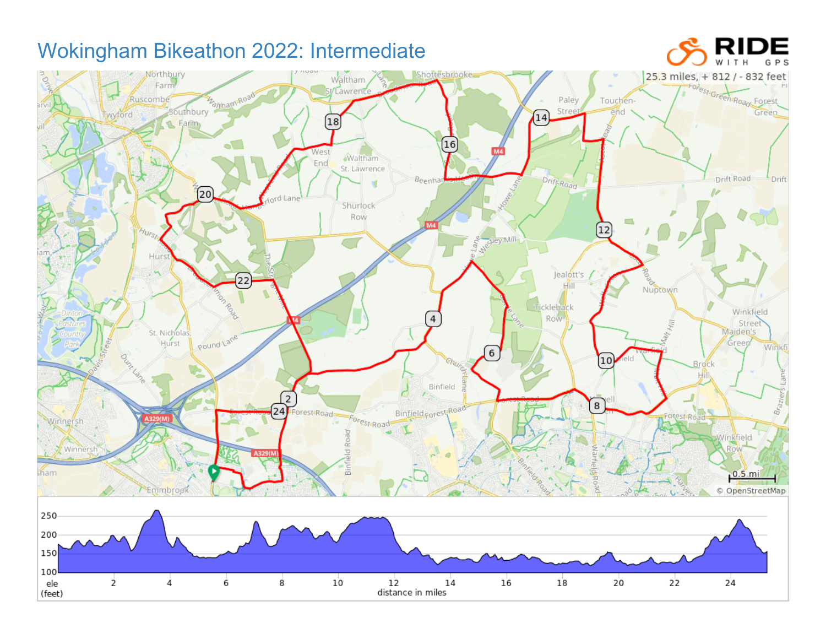## ЭE Wokingham Bikeathon 2022: Intermediate Shottesbrooke 25.3 miles, + 812 / - 832 feet Northbu Waltham Farm Forest Green Road Forest Southbury Manning Lawrent Ruscombe Paley Touchen-Stree Green\_ wyford end  $(14)$ **1** Farm 18 16 d. West **Waltham** End St. Lawrence Drift-Road Drift Road Beenha **Drift**  $[20]$  $l$ <sub>nf</sub>d-Lane Shurlock Row  $\boxed{12}$ HUIS. sley Mill S. Hurs Jealott's 22 Nuptown Hill Nool ickleback Winkfield Row-Street<br>Maiden's St. Nicholas Pound Lane Hurst Green Winkf 6 10 **Brock** Hill Binfield  $\sqrt{2}$ 2 Brazil  $\overline{8}$ Forest-Road  $\sqrt{24}$ Binfield corest Road Forest-Road-Forest-Road Winnersh cм Road Winkfield Winner Binfl ham  $0.5$ .mi Emmbrook © OpenStreetMap 250 200 150 100 ele  $\overline{2}$ 4 6 8  $10$  $12$  $14$  $16$  $18$ 20  $22$  $24$ distance in miles (feet)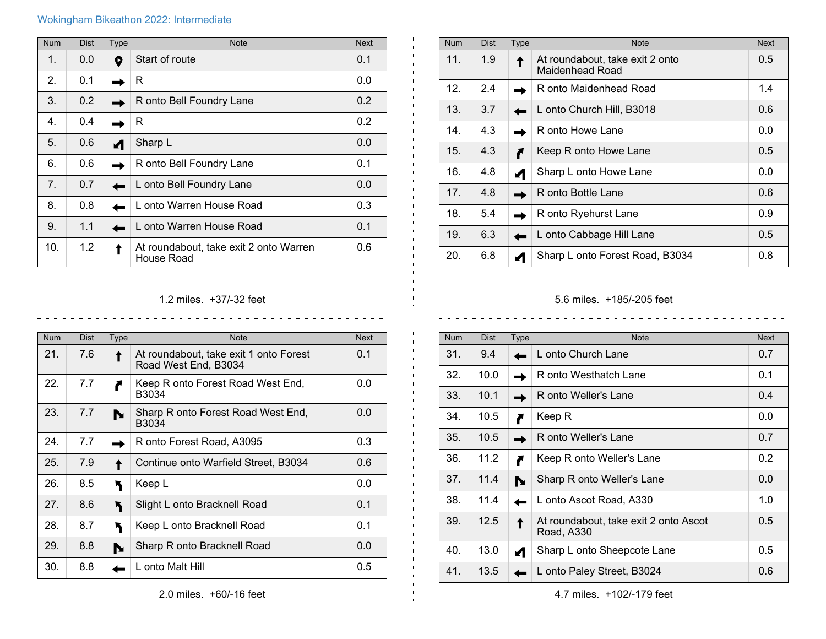## Wokingham Bikeathon 2022: Intermediate

| <b>Num</b>      | <b>Dist</b> | <b>Type</b> | <b>Note</b>                                          | <b>Next</b> |
|-----------------|-------------|-------------|------------------------------------------------------|-------------|
| 1.              | 0.0         | 0           | Start of route                                       | 0.1         |
| 2.              | 0.1         |             | R                                                    | 0.0         |
| 3.              | 0.2         |             | R onto Bell Foundry Lane                             | 0.2         |
| 4.              | 0.4         |             | R                                                    | 0.2         |
| 5.              | 0.6         |             | Sharp L                                              | 0.0         |
| 6.              | 0.6         |             | R onto Bell Foundry Lane                             | 0.1         |
| 7 <sub>1</sub>  | 0.7         |             | L onto Bell Foundry Lane                             | 0.0         |
| 8.              | 0.8         |             | L onto Warren House Road                             | 0.3         |
| 9.              | 1.1         |             | L onto Warren House Road                             | 0.1         |
| 10 <sub>1</sub> | 1.2         |             | At roundabout, take exit 2 onto Warren<br>House Road | 0.6         |

| <b>Num</b>      | <b>Dist</b> | Type | <b>Note</b>                                        | <b>Next</b> |
|-----------------|-------------|------|----------------------------------------------------|-------------|
| 11.             | 1.9         |      | At roundabout, take exit 2 onto<br>Maidenhead Road | 0.5         |
| 12.             | 2.4         |      | R onto Maidenhead Road                             | 1.4         |
| 13.             | 3.7         |      | L onto Church Hill, B3018                          | 0.6         |
| 14.             | 4.3         |      | R onto Howe Lane                                   | 0.0         |
| 15.             | 4.3         |      | Keep R onto Howe Lane                              | 0.5         |
| 16.             | 4.8         |      | Sharp L onto Howe Lane                             | 0.0         |
| 17 <sub>1</sub> | 4.8         |      | R onto Bottle Lane                                 | 0.6         |
| 18.             | 5.4         |      | R onto Ryehurst Lane                               | 0.9         |
| 19.             | 6.3         |      | L onto Cabbage Hill Lane                           | 0.5         |
| 20.             | 6.8         |      | Sharp L onto Forest Road, B3034                    | 0.8         |

## 1.2 miles. +37/-32 feet  $\begin{array}{cccccccccccccc} \bot & \bot & \bot & \bot & \bot & \bot & \bot & \bot \end{array}$

<u>. . . . . . . . . . . . . .</u>

 $\mathbf{L}$ 

| <b>Num</b> | <b>Dist</b> | Type | <b>Note</b>                                                    | <b>Next</b> |
|------------|-------------|------|----------------------------------------------------------------|-------------|
| 21.        | 7.6         |      | At roundabout, take exit 1 onto Forest<br>Road West End, B3034 | 0.1         |
| 22.        | 7.7         |      | Keep R onto Forest Road West End,<br>B3034                     | 0.0         |
| 23.        | 7.7         |      | Sharp R onto Forest Road West End,<br>B3034                    | 0.0         |
| 24.        | 7.7         |      | R onto Forest Road, A3095                                      | 0.3         |
| 25.        | 7.9         |      | Continue onto Warfield Street, B3034                           | 0.6         |
| 26.        | 8.5         |      | Keep L                                                         | 0.0         |
| 27.        | 8.6         |      | Slight L onto Bracknell Road                                   | 0.1         |
| 28.        | 8.7         |      | Keep L onto Bracknell Road                                     | 0.1         |
| 29.        | 8.8         |      | Sharp R onto Bracknell Road                                    | 0.0         |
| 30.        | 8.8         |      | L onto Malt Hill                                               | 0.5         |

## 5.6 miles. +185/-205 feet

 $\sim$   $\sim$ 

 $\overline{a}$ 

 $\frac{1}{2} \left( \frac{1}{2} \right) \left( \frac{1}{2} \right)$ 

| <b>Num</b> | <b>Dist</b> | <b>Type</b> | <b>Note</b>                                         | <b>Next</b> |
|------------|-------------|-------------|-----------------------------------------------------|-------------|
| 31.        | 9.4         |             | L onto Church Lane                                  | 0.7         |
| 32.        | 10.0        |             | R onto Westhatch Lane                               | 0.1         |
| 33.        | 10.1        |             | R onto Weller's Lane                                | 0.4         |
| 34.        | 10.5        |             | Keep R                                              | 0.0         |
| 35.        | 10.5        |             | R onto Weller's Lane                                | 0.7         |
| 36.        | 11.2        |             | Keep R onto Weller's Lane                           | 0.2         |
| 37.        | 11.4        |             | Sharp R onto Weller's Lane                          | 0.0         |
| 38.        | 11.4        |             | L onto Ascot Road, A330                             | 1.0         |
| 39.        | 12.5        |             | At roundabout, take exit 2 onto Ascot<br>Road, A330 | 0.5         |
| 40.        | 13.0        |             | Sharp L onto Sheepcote Lane                         | 0.5         |
| 41.        | 13.5        |             | L onto Paley Street, B3024                          | 0.6         |

4.7 miles. +102/-179 feet